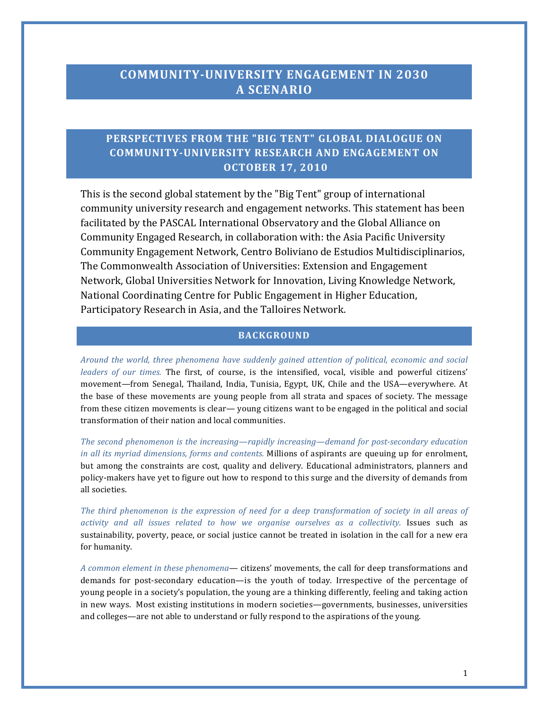# **COMMUNITY-UNIVERSITY ENGAGEMENT IN 2030 A SCENARIO**

## PERSPECTIVES FROM THE "BIG TENT" GLOBAL DIALOGUE ON **COMMUNITY-UNIVERSITY RESEARCH AND ENGAGEMENT ON OCTOBER 17, 2010**

This is the second global statement by the "Big Tent" group of international community university research and engagement networks. This statement has been facilitated by the PASCAL International Observatory and the Global Alliance on Community Engaged Research, in collaboration with: the Asia Pacific University Community Engagement Network, Centro Boliviano de Estudios Multidisciplinarios, The Commonwealth Association of Universities: Extension and Engagement Network, Global Universities Network for Innovation, Living Knowledge Network, National Coordinating Centre for Public Engagement in Higher Education, Participatory Research in Asia, and the Talloires Network.

#### **BACKGROUND**

*Around* the world, three phenomena have suddenly gained attention of political, economic and social *leaders of our times.* The first, of course, is the intensified, vocal, visible and powerful citizens' movement—from Senegal, Thailand, India, Tunisia, Egypt, UK, Chile and the USA—everywhere. At the base of these movements are young people from all strata and spaces of society. The message from these citizen movements is clear— young citizens want to be engaged in the political and social transformation of their nation and local communities.

The second phenomenon is the increasing—rapidly increasing—demand for post-secondary education *in all its myriad dimensions, forms and contents.* Millions of aspirants are queuing up for enrolment, but among the constraints are cost, quality and delivery. Educational administrators, planners and policy-makers have yet to figure out how to respond to this surge and the diversity of demands from all societies.

The third phenomenon is the expression of need for a deep transformation of society in all areas of activity and all issues related to how we organise ourselves as a collectivity. Issues such as sustainability, poverty, peace, or social justice cannot be treated in isolation in the call for a new era for humanity.

A common element in these phenomena— citizens' movements, the call for deep transformations and demands for post-secondary education—is the youth of today. Irrespective of the percentage of young people in a society's population, the young are a thinking differently, feeling and taking action in new ways. Most existing institutions in modern societies—governments, businesses, universities and colleges—are not able to understand or fully respond to the aspirations of the young.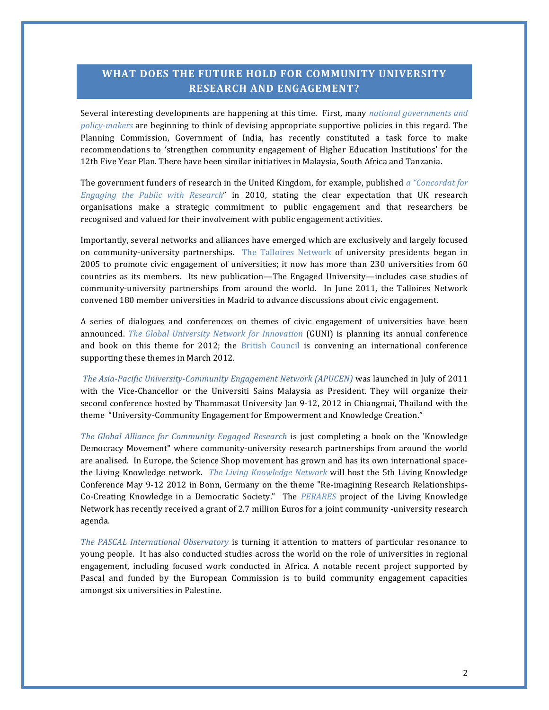## WHAT DOES THE FUTURE HOLD FOR COMMUNITY UNIVERSITY **RESEARCH AND ENGAGEMENT?**

Several interesting developments are happening at this time. First, many *national governments and policy-makers* are beginning to think of devising appropriate supportive policies in this regard. The Planning Commission, Government of India, has recently constituted a task force to make recommendations to 'strengthen community engagement of Higher Education Institutions' for the 12th Five Year Plan. There have been similar initiatives in Malaysia, South Africa and Tanzania.

The government funders of research in the United Kingdom, for example, published a "Concordat for *Engaging* the Public with Research" in 2010, stating the clear expectation that UK research organisations make a strategic commitment to public engagement and that researchers be recognised and valued for their involvement with public engagement activities.

Importantly, several networks and alliances have emerged which are exclusively and largely focused on community-university partnerships. The Talloires Network of university presidents began in 2005 to promote civic engagement of universities; it now has more than 230 universities from 60 countries as its members. Its new publication—The Engaged University—includes case studies of community-university partnerships from around the world. In June 2011, the Talloires Network convened 180 member universities in Madrid to advance discussions about civic engagement.

A series of dialogues and conferences on themes of civic engagement of universities have been announced. The Global University Network for Innovation (GUNI) is planning its annual conference and book on this theme for 2012; the British Council is convening an international conference supporting these themes in March 2012.

The Asia-Pacific University-Community Engagement Network (APUCEN) was launched in July of 2011 with the Vice-Chancellor or the Universiti Sains Malaysia as President. They will organize their second conference hosted by Thammasat University Jan 9-12, 2012 in Chiangmai, Thailand with the theme "University-Community Engagement for Empowerment and Knowledge Creation."

*The Global Alliance for Community Engaged Research* is just completing a book on the 'Knowledge Democracy Movement" where community-university research partnerships from around the world are analised. In Europe, the Science Shop movement has grown and has its own international spacethe Living Knowledge network. *The Living Knowledge Network* will host the 5th Living Knowledge Conference May 9-12 2012 in Bonn, Germany on the theme "Re-imagining Research Relationships-Co-Creating Knowledge in a Democratic Society." The PERARES project of the Living Knowledge Network has recently received a grant of 2.7 million Euros for a joint community -university research agenda.

*The PASCAL International Observatory* is turning it attention to matters of particular resonance to young people. It has also conducted studies across the world on the role of universities in regional engagement, including focused work conducted in Africa. A notable recent project supported by Pascal and funded by the European Commission is to build community engagement capacities amongst six universities in Palestine.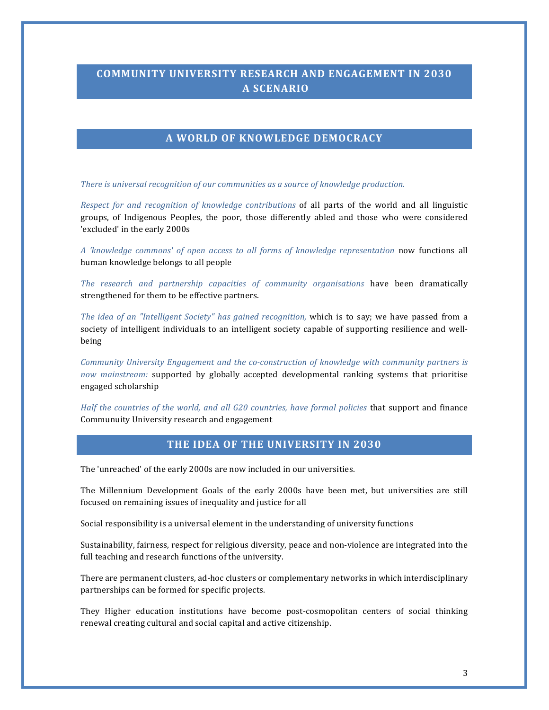# **COMMUNITY UNIVERSITY RESEARCH AND ENGAGEMENT IN 2030 A SCENARIO**

#### **A WORLD OF KNOWLEDGE DEMOCRACY**

*There is universal recognition of our communities as a source of knowledge production.* 

*Respect for and recognition of knowledge contributions* of all parts of the world and all linguistic groups, of Indigenous Peoples, the poor, those differently abled and those who were considered 'excluded' in the early 2000s

*A 'knowledge commons' of open access to all forms of knowledge representation* now functions all human knowledge belongs to all people

The research and partnership capacities of community organisations have been dramatically strengthened for them to be effective partners.

*The idea of an "Intelligent Society"* has gained recognition, which is to say; we have passed from a society of intelligent individuals to an intelligent society capable of supporting resilience and wellbeing

*Community University Engagement and the co-construction of knowledge with community partners is now mainstream:* supported by globally accepted developmental ranking systems that prioritise engaged scholarship

*Half* the countries of the world, and all G20 countries, have formal policies that support and finance Communuity University research and engagement

#### **THE IDEA OF THE UNIVERSITY IN 2030**

The 'unreached' of the early 2000s are now included in our universities.

The Millennium Development Goals of the early 2000s have been met, but universities are still focused on remaining issues of inequality and justice for all

Social responsibility is a universal element in the understanding of university functions

Sustainability, fairness, respect for religious diversity, peace and non-violence are integrated into the full teaching and research functions of the university.

There are permanent clusters, ad-hoc clusters or complementary networks in which interdisciplinary partnerships can be formed for specific projects.

They Higher education institutions have become post-cosmopolitan centers of social thinking renewal creating cultural and social capital and active citizenship.